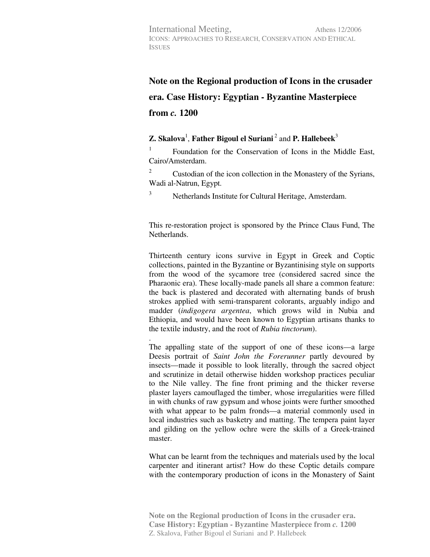## **Note on the Regional production of Icons in the crusader era. Case History: Egyptian - Byzantine Masterpiece from** *c.* **1200**

## **Z.** Skalova<sup>1</sup>, Father Bigoul el Suriani<sup>2</sup> and P. Hallebeek<sup>3</sup>

1 Foundation for the Conservation of Icons in the Middle East, Cairo/Amsterdam.

2 Custodian of the icon collection in the Monastery of the Syrians, Wadi al-Natrun, Egypt.

Netherlands Institute for Cultural Heritage, Amsterdam.

3

This re-restoration project is sponsored by the Prince Claus Fund, The **Netherlands** 

Thirteenth century icons survive in Egypt in Greek and Coptic collections, painted in the Byzantine or Byzantinising style on supports from the wood of the sycamore tree (considered sacred since the Pharaonic era). These locally-made panels all share a common feature: the back is plastered and decorated with alternating bands of brush strokes applied with semi-transparent colorants, arguably indigo and madder (*indigogera argentea*, which grows wild in Nubia and Ethiopia, and would have been known to Egyptian artisans thanks to the textile industry, and the root of *Rubia tinctorum*).

. The appalling state of the support of one of these icons—a large Deesis portrait of *Saint John the Forerunner* partly devoured by insects—made it possible to look literally, through the sacred object and scrutinize in detail otherwise hidden workshop practices peculiar to the Nile valley. The fine front priming and the thicker reverse plaster layers camouflaged the timber, whose irregularities were filled in with chunks of raw gypsum and whose joints were further smoothed with what appear to be palm fronds—a material commonly used in local industries such as basketry and matting. The tempera paint layer and gilding on the yellow ochre were the skills of a Greek-trained master.

What can be learnt from the techniques and materials used by the local carpenter and itinerant artist? How do these Coptic details compare with the contemporary production of icons in the Monastery of Saint

**Note on the Regional production of Icons in the crusader era. Case History: Egyptian - Byzantine Masterpiece from** *c.* **1200**  Z. Skalova, Father Bigoul el Suriani and P. Hallebeek